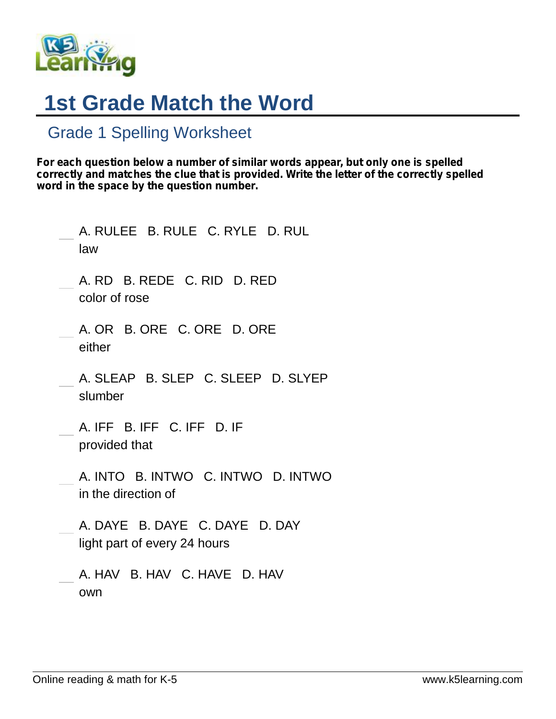

## **1st Grade Match the Word**

## Grade 1 Spelling Worksheet

*For each question below a number of similar words appear, but only one is spelled correctly and matches the clue that is provided. Write the letter of the correctly spelled word in the space by the question number.*

| A. RULEE B. RULE C. RYLE D. RUL<br>law                         |
|----------------------------------------------------------------|
| A. RD B. REDE C. RID D. RED<br>color of rose                   |
| A. OR B. ORE C. ORE D. ORE<br>either                           |
| A. SLEAP B. SLEP C. SLEEP D. SLYEP<br>slumber                  |
| A. IFF B. IFF C. IFF D. IF<br>provided that                    |
| A. INTO B. INTWO C. INTWO D. INTWO<br>in the direction of      |
| A. DAYE B. DAYE C. DAYE D. DAY<br>light part of every 24 hours |
| A. HAV B. HAV C. HAVE D. HAV<br>own                            |